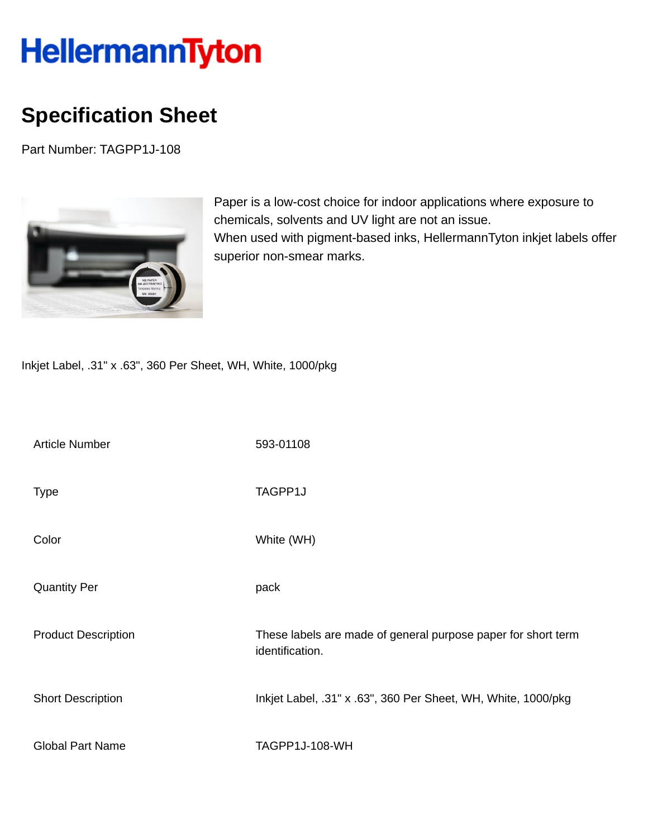## HellermannTyton

## **Specification Sheet**

Part Number: TAGPP1J-108



Paper is a low-cost choice for indoor applications where exposure to chemicals, solvents and UV light are not an issue. When used with pigment-based inks, HellermannTyton inkjet labels offer superior non-smear marks.

Inkjet Label, .31" x .63", 360 Per Sheet, WH, White, 1000/pkg

| <b>Article Number</b>      | 593-01108                                                                        |
|----------------------------|----------------------------------------------------------------------------------|
| <b>Type</b>                | TAGPP1J                                                                          |
| Color                      | White (WH)                                                                       |
| <b>Quantity Per</b>        | pack                                                                             |
| <b>Product Description</b> | These labels are made of general purpose paper for short term<br>identification. |
| <b>Short Description</b>   | Inkjet Label, .31" x .63", 360 Per Sheet, WH, White, 1000/pkg                    |
| <b>Global Part Name</b>    | TAGPP1J-108-WH                                                                   |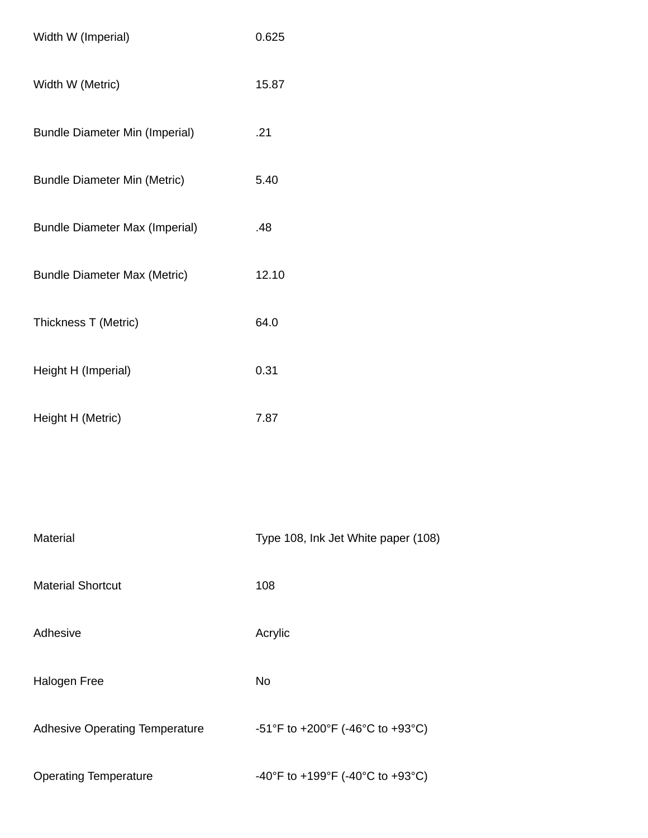| Width W (Imperial)                    | 0.625                               |
|---------------------------------------|-------------------------------------|
| Width W (Metric)                      | 15.87                               |
| <b>Bundle Diameter Min (Imperial)</b> | .21                                 |
| <b>Bundle Diameter Min (Metric)</b>   | 5.40                                |
| <b>Bundle Diameter Max (Imperial)</b> | .48                                 |
| <b>Bundle Diameter Max (Metric)</b>   | 12.10                               |
| Thickness T (Metric)                  | 64.0                                |
| Height H (Imperial)                   | 0.31                                |
| Height H (Metric)                     | 7.87                                |
|                                       |                                     |
| Material                              | Type 108, Ink Jet White paper (108) |
| <b>Material Shortcut</b>              | 108                                 |
| Adhesive                              | Acrylic                             |
| <b>Halogen Free</b>                   | No                                  |
| <b>Adhesive Operating Temperature</b> | -51°F to +200°F (-46°C to +93°C)    |
| <b>Operating Temperature</b>          | -40°F to +199°F (-40°C to +93°C)    |